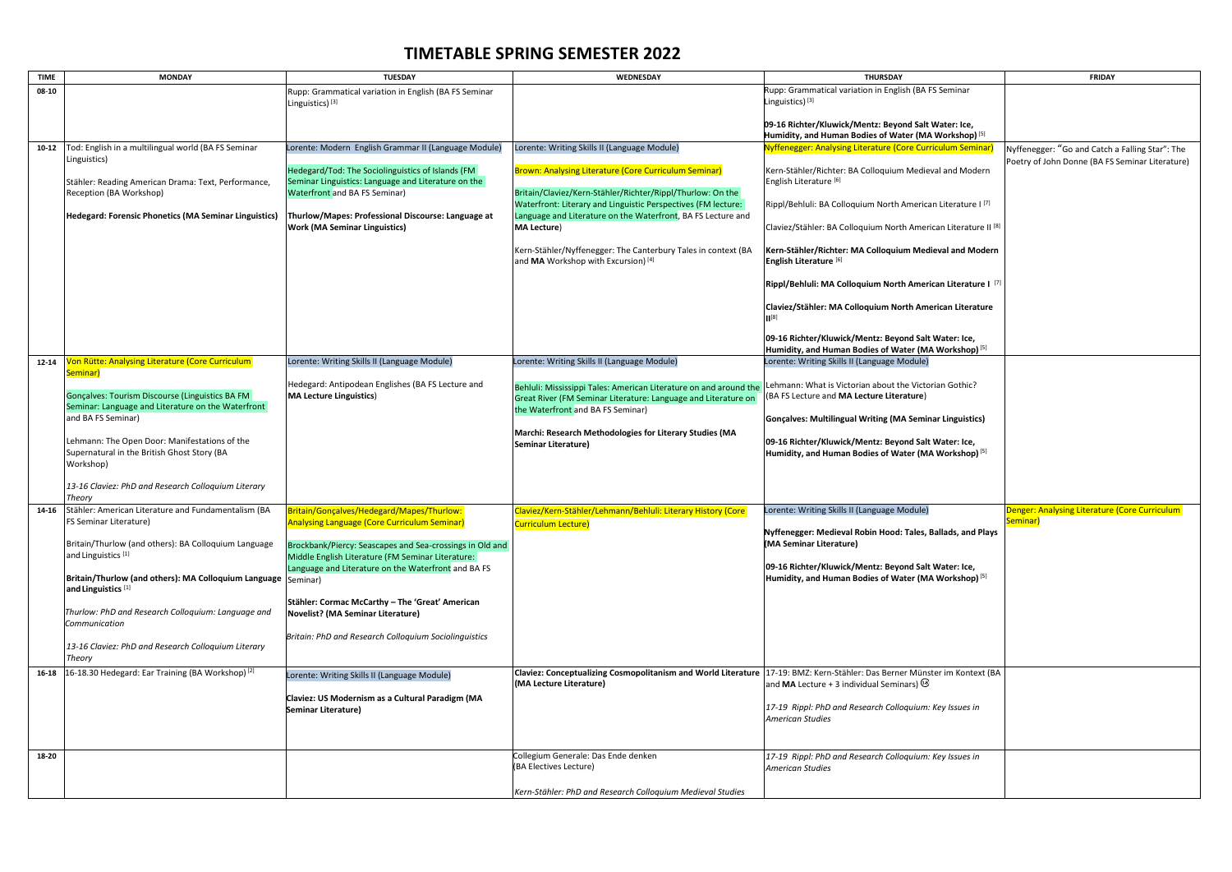## **TIMETABLE SPRING SEMESTER 2022**

| <b>TIME</b> | <b>MONDAY</b>                                                            | <b>TUESDAY</b>                                                                                           | WEDNESDAY                                                                                                                   | <b>THURSDAY</b>                                                            | <b>FRIDAY</b>                       |
|-------------|--------------------------------------------------------------------------|----------------------------------------------------------------------------------------------------------|-----------------------------------------------------------------------------------------------------------------------------|----------------------------------------------------------------------------|-------------------------------------|
| 08-10       |                                                                          | Rupp: Grammatical variation in English (BA FS Seminar                                                    |                                                                                                                             | Rupp: Grammatical variation in English (BA FS Seminar                      |                                     |
|             |                                                                          | Linguistics) <sup>[3]</sup>                                                                              |                                                                                                                             | Linguistics) <sup>[3]</sup>                                                |                                     |
|             |                                                                          |                                                                                                          |                                                                                                                             | 09-16 Richter/Kluwick/Mentz: Beyond Salt Water: Ice,                       |                                     |
|             |                                                                          |                                                                                                          |                                                                                                                             | Humidity, and Human Bodies of Water (MA Workshop) [5]                      |                                     |
| $10 - 12$   | Tod: English in a multilingual world (BA FS Seminar                      | Lorente: Modern English Grammar II (Language Module)                                                     | Lorente: Writing Skills II (Language Module)                                                                                | Nyffenegger: Analysing Literature (Core Curriculum Seminar)                | Nyffenegger: "Go and Catch          |
|             | Linguistics)                                                             |                                                                                                          |                                                                                                                             |                                                                            | Poetry of John Donne (BA FS         |
|             |                                                                          | Hedegard/Tod: The Sociolinguistics of Islands (FM                                                        | Brown: Analysing Literature (Core Curriculum Seminar)                                                                       | Kern-Stähler/Richter: BA Colloquium Medieval and Modern                    |                                     |
|             | Stähler: Reading American Drama: Text, Performance,                      | Seminar Linguistics: Language and Literature on the                                                      |                                                                                                                             | English Literature <sup>[6]</sup>                                          |                                     |
|             | Reception (BA Workshop)                                                  | <b>Waterfront and BA FS Seminar)</b>                                                                     | Britain/Claviez/Kern-Stähler/Richter/Rippl/Thurlow: On the<br>Waterfront: Literary and Linguistic Perspectives (FM lecture: | Rippl/Behluli: BA Colloquium North American Literature I <sup>[7]</sup>    |                                     |
|             | Hedegard: Forensic Phonetics (MA Seminar Linguistics)                    | Thurlow/Mapes: Professional Discourse: Language at                                                       | Language and Literature on the Waterfront, BA FS Lecture and                                                                |                                                                            |                                     |
|             |                                                                          | <b>Work (MA Seminar Linguistics)</b>                                                                     | <b>MA Lecture)</b>                                                                                                          | Claviez/Stähler: BA Colloquium North American Literature II <sup>[8]</sup> |                                     |
|             |                                                                          |                                                                                                          |                                                                                                                             |                                                                            |                                     |
|             |                                                                          |                                                                                                          | Kern-Stähler/Nyffenegger: The Canterbury Tales in context (BA                                                               | Kern-Stähler/Richter: MA Colloquium Medieval and Modern                    |                                     |
|             |                                                                          |                                                                                                          | and MA Workshop with Excursion) [4]                                                                                         | English Literature <sup>[6]</sup>                                          |                                     |
|             |                                                                          |                                                                                                          |                                                                                                                             | Rippl/Behluli: MA Colloquium North American Literature I [7]               |                                     |
|             |                                                                          |                                                                                                          |                                                                                                                             |                                                                            |                                     |
|             |                                                                          |                                                                                                          |                                                                                                                             | Claviez/Stähler: MA Colloquium North American Literature                   |                                     |
|             |                                                                          |                                                                                                          |                                                                                                                             |                                                                            |                                     |
|             |                                                                          |                                                                                                          |                                                                                                                             | 09-16 Richter/Kluwick/Mentz: Beyond Salt Water: Ice,                       |                                     |
|             |                                                                          |                                                                                                          |                                                                                                                             | Humidity, and Human Bodies of Water (MA Workshop) [5]                      |                                     |
| $12 - 14$   | <b>Jon Rütte: Analysing Literature (Core Curriculum</b>                  | Lorente: Writing Skills II (Language Module)                                                             | Lorente: Writing Skills II (Language Module)                                                                                | Lorente: Writing Skills II (Language Module)                               |                                     |
|             | Seminar)                                                                 |                                                                                                          |                                                                                                                             |                                                                            |                                     |
|             |                                                                          | Hedegard: Antipodean Englishes (BA FS Lecture and                                                        | Behluli: Mississippi Tales: American Literature on and around the                                                           | Lehmann: What is Victorian about the Victorian Gothic?                     |                                     |
|             | Gonçalves: Tourism Discourse (Linguistics BA FM                          | <b>MA Lecture Linguistics)</b>                                                                           | Great River (FM Seminar Literature: Language and Literature on                                                              | (BA FS Lecture and MA Lecture Literature)                                  |                                     |
|             | Seminar: Language and Literature on the Waterfront<br>and BA FS Seminar) |                                                                                                          | the Waterfront and BA FS Seminar)                                                                                           | Gonçalves: Multilingual Writing (MA Seminar Linguistics)                   |                                     |
|             |                                                                          |                                                                                                          | Marchi: Research Methodologies for Literary Studies (MA                                                                     |                                                                            |                                     |
|             | Lehmann: The Open Door: Manifestations of the                            |                                                                                                          | Seminar Literature)                                                                                                         | 09-16 Richter/Kluwick/Mentz: Beyond Salt Water: Ice,                       |                                     |
|             | Supernatural in the British Ghost Story (BA                              |                                                                                                          |                                                                                                                             | Humidity, and Human Bodies of Water (MA Workshop) [5]                      |                                     |
|             | Workshop)                                                                |                                                                                                          |                                                                                                                             |                                                                            |                                     |
|             | 13-16 Claviez: PhD and Research Colloquium Literary                      |                                                                                                          |                                                                                                                             |                                                                            |                                     |
|             | Theory                                                                   |                                                                                                          |                                                                                                                             |                                                                            |                                     |
| 14-16       | Stähler: American Literature and Fundamentalism (BA                      | Britain/Gonçalves/Hedegard/Mapes/Thurlow:                                                                | Claviez/Kern-Stähler/Lehmann/Behluli: Literary History (Core                                                                | Lorente: Writing Skills II (Language Module)                               | <b>Denger: Analysing Literature</b> |
|             | <b>FS Seminar Literature)</b>                                            | <b>Analysing Language (Core Curriculum Seminar)</b>                                                      | Curriculum Lecture)                                                                                                         |                                                                            | Seminar)                            |
|             |                                                                          |                                                                                                          |                                                                                                                             | Nyffenegger: Medieval Robin Hood: Tales, Ballads, and Plays                |                                     |
|             | Britain/Thurlow (and others): BA Colloquium Language                     | Brockbank/Piercy: Seascapes and Sea-crossings in Old and                                                 |                                                                                                                             | (MA Seminar Literature)                                                    |                                     |
|             | and Linguistics <sup>[1]</sup>                                           | Middle English Literature (FM Seminar Literature:<br>Language and Literature on the Waterfront and BA FS |                                                                                                                             | 09-16 Richter/Kluwick/Mentz: Beyond Salt Water: Ice,                       |                                     |
|             | Britain/Thurlow (and others): MA Colloquium Language  Seminar)           |                                                                                                          |                                                                                                                             | Humidity, and Human Bodies of Water (MA Workshop) [5]                      |                                     |
|             | and Linguistics <sup>[1]</sup>                                           |                                                                                                          |                                                                                                                             |                                                                            |                                     |
|             |                                                                          | Stähler: Cormac McCarthy - The 'Great' American                                                          |                                                                                                                             |                                                                            |                                     |
|             | Thurlow: PhD and Research Colloquium: Language and                       | <b>Novelist? (MA Seminar Literature)</b>                                                                 |                                                                                                                             |                                                                            |                                     |
|             | Communication                                                            |                                                                                                          |                                                                                                                             |                                                                            |                                     |
|             | 13-16 Claviez: PhD and Research Colloquium Literary                      | Britain: PhD and Research Colloquium Sociolinguistics                                                    |                                                                                                                             |                                                                            |                                     |
|             | Theory                                                                   |                                                                                                          |                                                                                                                             |                                                                            |                                     |
| 16-18       | 16-18.30 Hedegard: Ear Training (BA Workshop) <sup>[2]</sup>             | Lorente: Writing Skills II (Language Module)                                                             | Claviez: Conceptualizing Cosmopolitanism and World Literature 17-19: BMZ: Kern-Stähler: Das Berner Münster im Kontext (BA   |                                                                            |                                     |
|             |                                                                          |                                                                                                          | (MA Lecture Literature)                                                                                                     | and MA Lecture + 3 individual Seminars) $^{(3)}$                           |                                     |
|             |                                                                          | Claviez: US Modernism as a Cultural Paradigm (MA                                                         |                                                                                                                             |                                                                            |                                     |
|             |                                                                          | Seminar Literature)                                                                                      |                                                                                                                             | 17-19 Rippl: PhD and Research Colloquium: Key Issues in                    |                                     |
|             |                                                                          |                                                                                                          |                                                                                                                             | <b>American Studies</b>                                                    |                                     |
|             |                                                                          |                                                                                                          |                                                                                                                             |                                                                            |                                     |
| 18-20       |                                                                          |                                                                                                          | Collegium Generale: Das Ende denken                                                                                         | 17-19 Rippl: PhD and Research Colloquium: Key Issues in                    |                                     |
|             |                                                                          |                                                                                                          | (BA Electives Lecture)                                                                                                      | <b>American Studies</b>                                                    |                                     |
|             |                                                                          |                                                                                                          |                                                                                                                             |                                                                            |                                     |
|             |                                                                          |                                                                                                          | Kern-Stähler: PhD and Research Colloquium Medieval Studies                                                                  |                                                                            |                                     |

|                                                    | <b>FRIDAY</b>                                                                                      |
|----------------------------------------------------|----------------------------------------------------------------------------------------------------|
| S Seminar                                          |                                                                                                    |
| Water: Ice,                                        |                                                                                                    |
| <b>Workshop)</b> <sup>[5]</sup><br>iculum Seminar) |                                                                                                    |
|                                                    | Nyffenegger: "Go and Catch a Falling Star": The<br>Poetry of John Donne (BA FS Seminar Literature) |
| val and Modern                                     |                                                                                                    |
| In Literature I <sup>[7]</sup>                     |                                                                                                    |
| ican Literature II <sup>[8]</sup>                  |                                                                                                    |
| ieval and Modern                                   |                                                                                                    |
| can Literature I <sup>[7]</sup>                    |                                                                                                    |
| erican Literature                                  |                                                                                                    |
| Water: Ice,<br>\ Workshop) <sup>[5]</sup>          |                                                                                                    |
|                                                    |                                                                                                    |
| rian Gothic?                                       |                                                                                                    |
| ar Linguistics)                                    |                                                                                                    |
| Water: Ice,<br><b>\ Workshop)</b> [5]              |                                                                                                    |
|                                                    |                                                                                                    |
|                                                    |                                                                                                    |
|                                                    | Denger: Analysing Literature (Core Curriculum<br>Seminar)                                          |
| <b>Ballads, and Plays</b>                          |                                                                                                    |
| Water: Ice,                                        |                                                                                                    |
| \ Workshop) [5]                                    |                                                                                                    |
|                                                    |                                                                                                    |
|                                                    |                                                                                                    |
|                                                    |                                                                                                    |
| ter im Kontext (BA                                 |                                                                                                    |
| Key Issues in                                      |                                                                                                    |
|                                                    |                                                                                                    |
| Key Issues in                                      |                                                                                                    |
|                                                    |                                                                                                    |